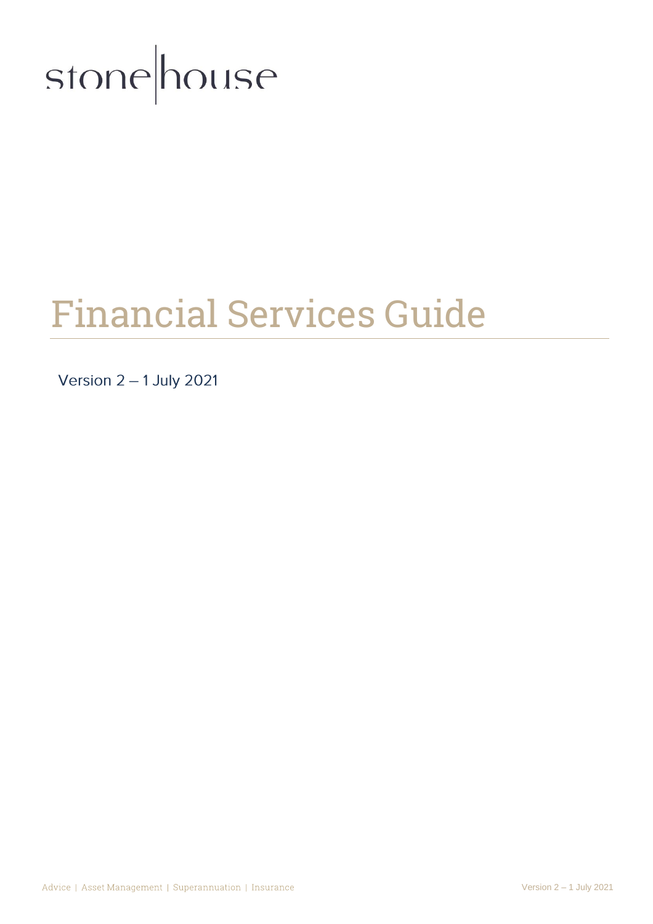

# Financial Services Guide

Version  $2 - 1$  July 2021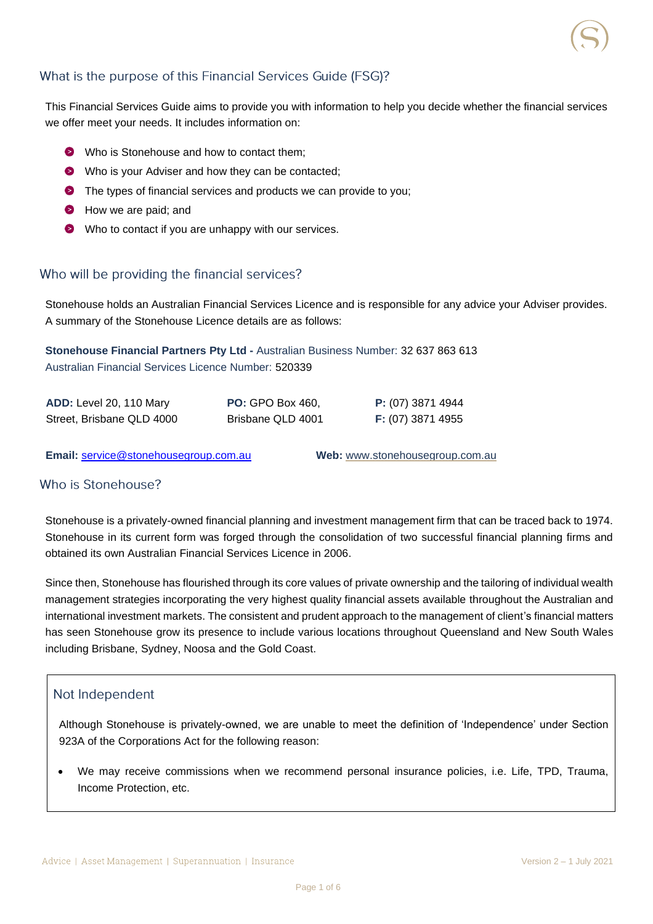# What is the purpose of this Financial Services Guide (FSG)?

This Financial Services Guide aims to provide you with information to help you decide whether the financial services we offer meet your needs. It includes information on:

- Who is Stonehouse and how to contact them:
- Who is your Adviser and how they can be contacted;
- **O** The types of financial services and products we can provide to you;
- How we are paid; and
- Who to contact if you are unhappy with our services.

#### Who will be providing the financial services?

Stonehouse holds an Australian Financial Services Licence and is responsible for any advice your Adviser provides. A summary of the Stonehouse Licence details are as follows:

**Stonehouse Financial Partners Pty Ltd -** Australian Business Number: 32 637 863 613 Australian Financial Services Licence Number: 520339

| ADD: Level 20, 110 Mary   | <b>PO:</b> GPO Box 460, | P: (07) 3871 4944 |
|---------------------------|-------------------------|-------------------|
| Street, Brisbane QLD 4000 | Brisbane QLD 4001       | F: (07) 3871 4955 |

**Email:** [service@stonehousegroup.com.au](mailto:service@stonehousegroup.com.au) **Web:** [www.stonehousegroup.com.au](http://www.stonehousegroup.com.au/)

## Who is Stonehouse?

Stonehouse is a privately-owned financial planning and investment management firm that can be traced back to 1974. Stonehouse in its current form was forged through the consolidation of two successful financial planning firms and obtained its own Australian Financial Services Licence in 2006.

Since then, Stonehouse has flourished through its core values of private ownership and the tailoring of individual wealth management strategies incorporating the very highest quality financial assets available throughout the Australian and international investment markets. The consistent and prudent approach to the management of client's financial matters has seen Stonehouse grow its presence to include various locations throughout Queensland and New South Wales including Brisbane, Sydney, Noosa and the Gold Coast.

#### Not Independent

Although Stonehouse is privately-owned, we are unable to meet the definition of 'Independence' under Section 923A of the Corporations Act for the following reason:

• We may receive commissions when we recommend personal insurance policies, i.e. Life, TPD, Trauma, Income Protection, etc.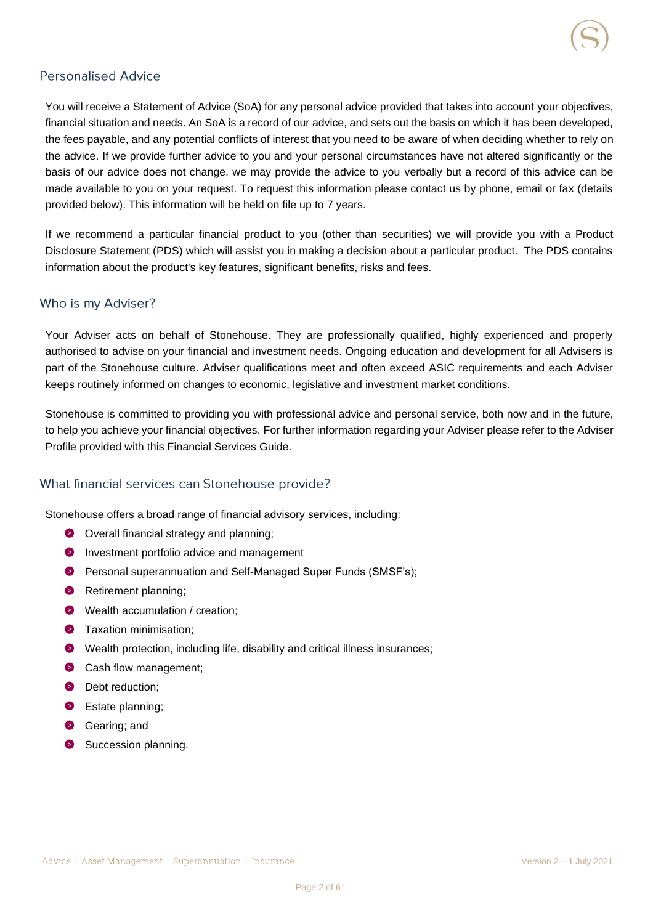## **Personalised Advice**

You will receive a Statement of Advice (SoA) for any personal advice provided that takes into account your objectives, financial situation and needs. An SoA is a record of our advice, and sets out the basis on which it has been developed, the fees payable, and any potential conflicts of interest that you need to be aware of when deciding whether to rely on the advice. If we provide further advice to you and your personal circumstances have not altered significantly or the basis of our advice does not change, we may provide the advice to you verbally but a record of this advice can be made available to you on your request. To request this information please contact us by phone, email or fax (details provided below). This information will be held on file up to 7 years.

If we recommend a particular financial product to you (other than securities) we will provide you with a Product Disclosure Statement (PDS) which will assist you in making a decision about a particular product. The PDS contains information about the product's key features, significant benefits, risks and fees.

## Who is my Adviser?

Your Adviser acts on behalf of Stonehouse. They are professionally qualified, highly experienced and properly authorised to advise on your financial and investment needs. Ongoing education and development for all Advisers is part of the Stonehouse culture. Adviser qualifications meet and often exceed ASIC requirements and each Adviser keeps routinely informed on changes to economic, legislative and investment market conditions.

Stonehouse is committed to providing you with professional advice and personal service, both now and in the future, to help you achieve your financial objectives. For further information regarding your Adviser please refer to the Adviser Profile provided with this Financial Services Guide.

# What financial services can Stonehouse provide?

Stonehouse offers a broad range of financial advisory services, including:

- O Overall financial strategy and planning;
- **Investment portfolio advice and management**
- **P** Personal superannuation and Self-Managed Super Funds (SMSF's);
- Retirement planning;
- Wealth accumulation / creation;
- **O** Taxation minimisation;
- **O** Wealth protection, including life, disability and critical illness insurances;
- Cash flow management;
- **Debt reduction;**
- **B** Estate planning;
- **Gearing**; and
- Succession planning.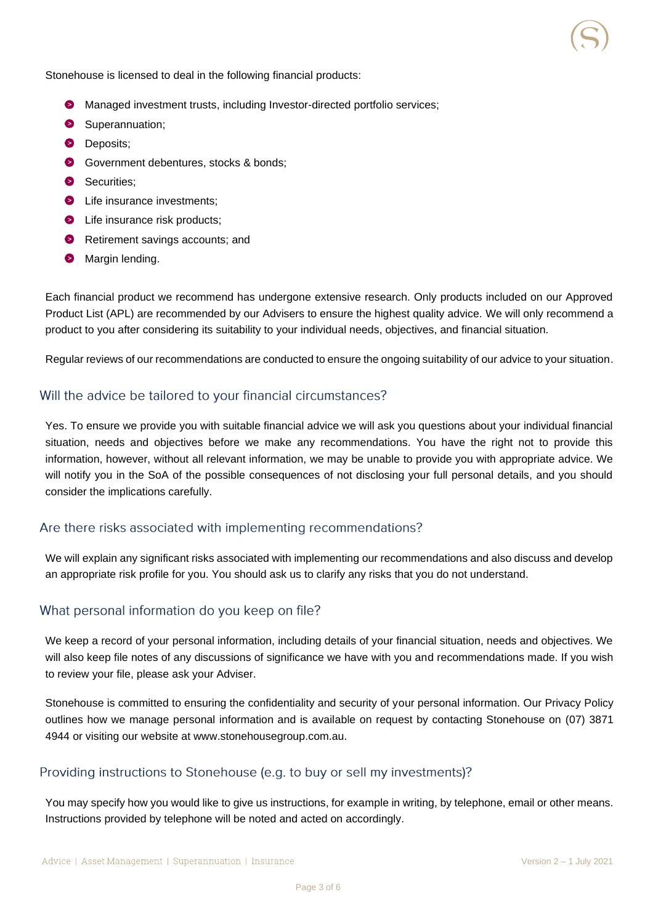Stonehouse is licensed to deal in the following financial products:

- **O** Managed investment trusts, including Investor-directed portfolio services;
- Superannuation;
- **Deposits**;
- **G** Government debentures, stocks & bonds;
- Securities:
- **E** Life insurance investments:
- **O** Life insurance risk products;
- Retirement savings accounts; and
- **Margin lending.**

Each financial product we recommend has undergone extensive research. Only products included on our Approved Product List (APL) are recommended by our Advisers to ensure the highest quality advice. We will only recommend a product to you after considering its suitability to your individual needs, objectives, and financial situation.

Regular reviews of our recommendations are conducted to ensure the ongoing suitability of our advice to your situation.

## Will the advice be tailored to your financial circumstances?

Yes. To ensure we provide you with suitable financial advice we will ask you questions about your individual financial situation, needs and objectives before we make any recommendations. You have the right not to provide this information, however, without all relevant information, we may be unable to provide you with appropriate advice. We will notify you in the SoA of the possible consequences of not disclosing your full personal details, and you should consider the implications carefully.

# Are there risks associated with implementing recommendations?

We will explain any significant risks associated with implementing our recommendations and also discuss and develop an appropriate risk profile for you. You should ask us to clarify any risks that you do not understand.

# What personal information do you keep on file?

We keep a record of your personal information, including details of your financial situation, needs and objectives. We will also keep file notes of any discussions of significance we have with you and recommendations made. If you wish to review your file, please ask your Adviser.

Stonehouse is committed to ensuring the confidentiality and security of your personal information. Our Privacy Policy outlines how we manage personal information and is available on request by contacting Stonehouse on (07) 3871 4944 or visiting our website at www.stonehousegroup.com.au.

# Providing instructions to Stonehouse (e.g. to buy or sell my investments)?

You may specify how you would like to give us instructions, for example in writing, by telephone, email or other means. Instructions provided by telephone will be noted and acted on accordingly.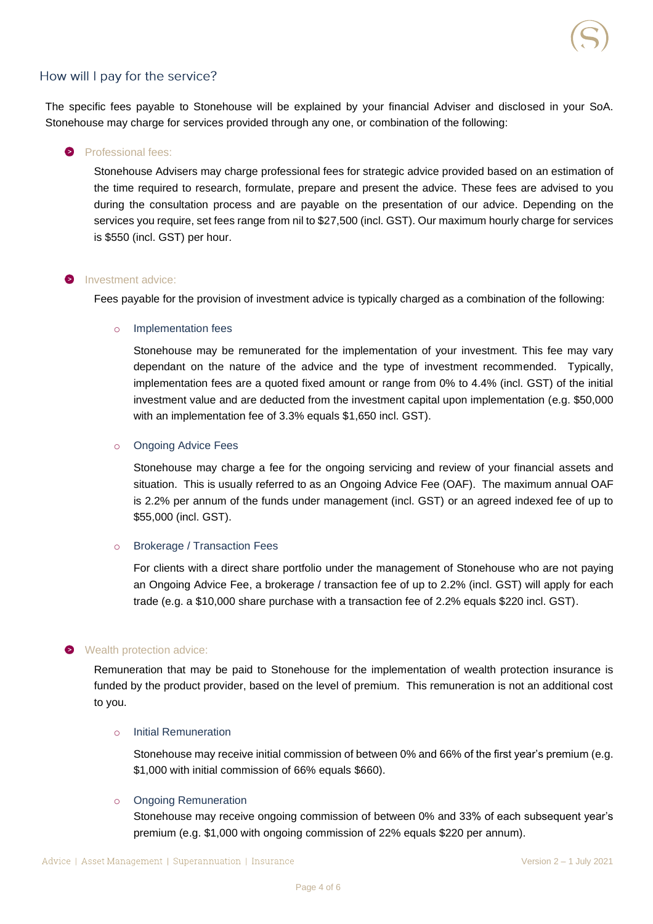## How will I pay for the service?

The specific fees payable to Stonehouse will be explained by your financial Adviser and disclosed in your SoA. Stonehouse may charge for services provided through any one, or combination of the following:

#### **Professional fees:**

Stonehouse Advisers may charge professional fees for strategic advice provided based on an estimation of the time required to research, formulate, prepare and present the advice. These fees are advised to you during the consultation process and are payable on the presentation of our advice. Depending on the services you require, set fees range from nil to \$27,500 (incl. GST). Our maximum hourly charge for services is \$550 (incl. GST) per hour.

#### **D** Investment advice:

Fees payable for the provision of investment advice is typically charged as a combination of the following:

#### o Implementation fees

Stonehouse may be remunerated for the implementation of your investment. This fee may vary dependant on the nature of the advice and the type of investment recommended. Typically, implementation fees are a quoted fixed amount or range from 0% to 4.4% (incl. GST) of the initial investment value and are deducted from the investment capital upon implementation (e.g. \$50,000 with an implementation fee of 3.3% equals \$1,650 incl. GST).

#### o Ongoing Advice Fees

Stonehouse may charge a fee for the ongoing servicing and review of your financial assets and situation. This is usually referred to as an Ongoing Advice Fee (OAF). The maximum annual OAF is 2.2% per annum of the funds under management (incl. GST) or an agreed indexed fee of up to \$55,000 (incl. GST).

#### o Brokerage / Transaction Fees

For clients with a direct share portfolio under the management of Stonehouse who are not paying an Ongoing Advice Fee, a brokerage / transaction fee of up to 2.2% (incl. GST) will apply for each trade (e.g. a \$10,000 share purchase with a transaction fee of 2.2% equals \$220 incl. GST).

#### Wealth protection advice:

Remuneration that may be paid to Stonehouse for the implementation of wealth protection insurance is funded by the product provider, based on the level of premium. This remuneration is not an additional cost to you.

#### o Initial Remuneration

Stonehouse may receive initial commission of between 0% and 66% of the first year's premium (e.g. \$1,000 with initial commission of 66% equals \$660).

#### o Ongoing Remuneration

Stonehouse may receive ongoing commission of between 0% and 33% of each subsequent year's premium (e.g. \$1,000 with ongoing commission of 22% equals \$220 per annum).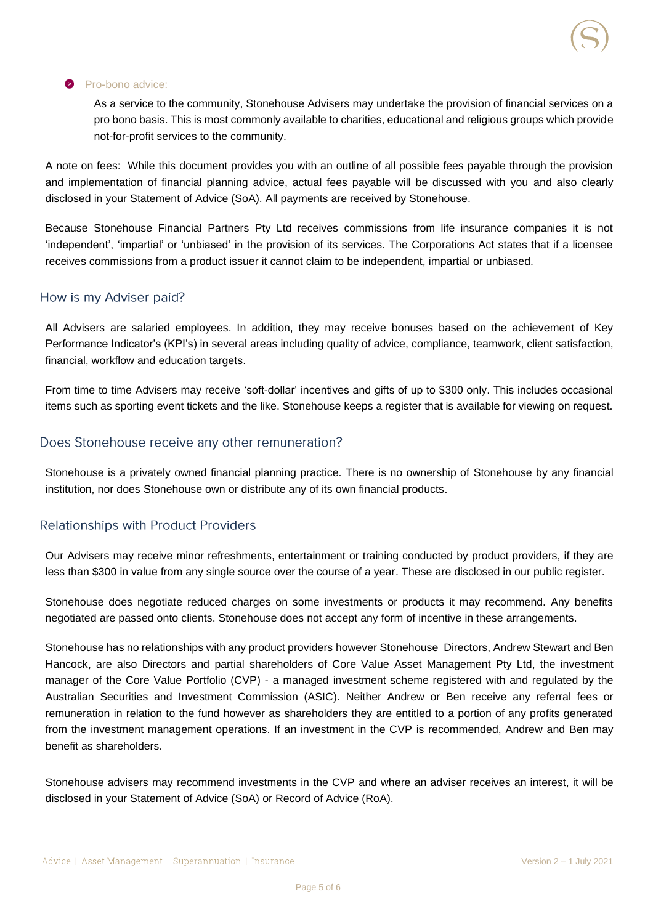#### **Pro-bono advice:**

As a service to the community, Stonehouse Advisers may undertake the provision of financial services on a pro bono basis. This is most commonly available to charities, educational and religious groups which provide not-for-profit services to the community.

A note on fees: While this document provides you with an outline of all possible fees payable through the provision and implementation of financial planning advice, actual fees payable will be discussed with you and also clearly disclosed in your Statement of Advice (SoA). All payments are received by Stonehouse.

Because Stonehouse Financial Partners Pty Ltd receives commissions from life insurance companies it is not 'independent', 'impartial' or 'unbiased' in the provision of its services. The Corporations Act states that if a licensee receives commissions from a product issuer it cannot claim to be independent, impartial or unbiased.

#### How is my Adviser paid?

All Advisers are salaried employees. In addition, they may receive bonuses based on the achievement of Key Performance Indicator's (KPI's) in several areas including quality of advice, compliance, teamwork, client satisfaction, financial, workflow and education targets.

From time to time Advisers may receive 'soft-dollar' incentives and gifts of up to \$300 only. This includes occasional items such as sporting event tickets and the like. Stonehouse keeps a register that is available for viewing on request.

## Does Stonehouse receive any other remuneration?

Stonehouse is a privately owned financial planning practice. There is no ownership of Stonehouse by any financial institution, nor does Stonehouse own or distribute any of its own financial products.

## **Relationships with Product Providers**

Our Advisers may receive minor refreshments, entertainment or training conducted by product providers, if they are less than \$300 in value from any single source over the course of a year. These are disclosed in our public register.

Stonehouse does negotiate reduced charges on some investments or products it may recommend. Any benefits negotiated are passed onto clients. Stonehouse does not accept any form of incentive in these arrangements.

Stonehouse has no relationships with any product providers however Stonehouse Directors, Andrew Stewart and Ben Hancock, are also Directors and partial shareholders of Core Value Asset Management Pty Ltd, the investment manager of the Core Value Portfolio (CVP) - a managed investment scheme registered with and regulated by the Australian Securities and Investment Commission (ASIC). Neither Andrew or Ben receive any referral fees or remuneration in relation to the fund however as shareholders they are entitled to a portion of any profits generated from the investment management operations. If an investment in the CVP is recommended, Andrew and Ben may benefit as shareholders.

Stonehouse advisers may recommend investments in the CVP and where an adviser receives an interest, it will be disclosed in your Statement of Advice (SoA) or Record of Advice (RoA).